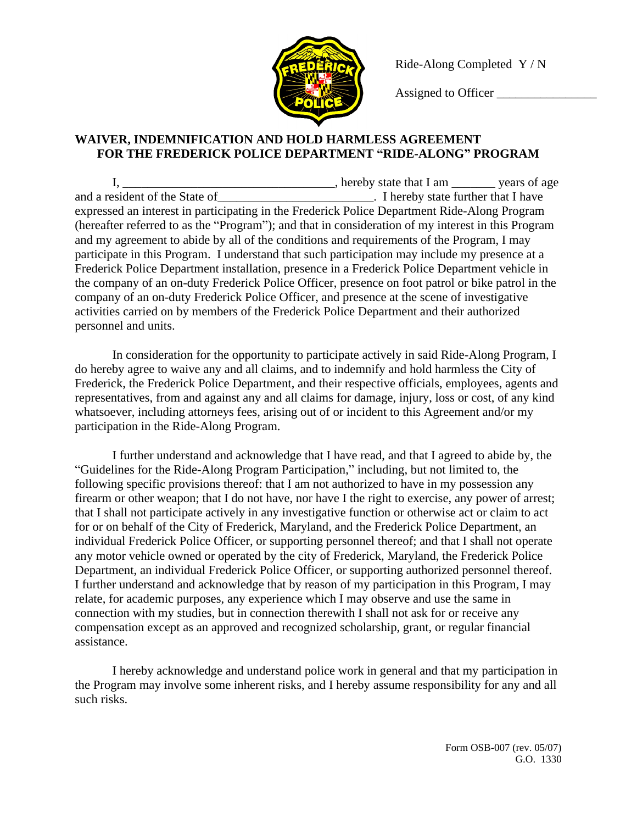

Ride-Along Completed Y / N

Assigned to Officer \_\_\_\_\_\_\_\_\_\_\_\_\_\_\_\_

## **WAIVER, INDEMNIFICATION AND HOLD HARMLESS AGREEMENT FOR THE FREDERICK POLICE DEPARTMENT "RIDE-ALONG" PROGRAM**

I, \_\_\_\_\_\_\_\_\_\_\_\_\_\_\_\_\_\_\_\_\_\_\_\_\_\_\_\_\_\_\_\_\_\_\_, hereby state that I am \_\_\_\_\_\_\_\_ years of age and a resident of the State of The State of Thereby state further that I have expressed an interest in participating in the Frederick Police Department Ride-Along Program (hereafter referred to as the "Program"); and that in consideration of my interest in this Program and my agreement to abide by all of the conditions and requirements of the Program, I may participate in this Program. I understand that such participation may include my presence at a Frederick Police Department installation, presence in a Frederick Police Department vehicle in the company of an on-duty Frederick Police Officer, presence on foot patrol or bike patrol in the company of an on-duty Frederick Police Officer, and presence at the scene of investigative activities carried on by members of the Frederick Police Department and their authorized personnel and units.

In consideration for the opportunity to participate actively in said Ride-Along Program, I do hereby agree to waive any and all claims, and to indemnify and hold harmless the City of Frederick, the Frederick Police Department, and their respective officials, employees, agents and representatives, from and against any and all claims for damage, injury, loss or cost, of any kind whatsoever, including attorneys fees, arising out of or incident to this Agreement and/or my participation in the Ride-Along Program.

I further understand and acknowledge that I have read, and that I agreed to abide by, the "Guidelines for the Ride-Along Program Participation," including, but not limited to, the following specific provisions thereof: that I am not authorized to have in my possession any firearm or other weapon; that I do not have, nor have I the right to exercise, any power of arrest; that I shall not participate actively in any investigative function or otherwise act or claim to act for or on behalf of the City of Frederick, Maryland, and the Frederick Police Department, an individual Frederick Police Officer, or supporting personnel thereof; and that I shall not operate any motor vehicle owned or operated by the city of Frederick, Maryland, the Frederick Police Department, an individual Frederick Police Officer, or supporting authorized personnel thereof. I further understand and acknowledge that by reason of my participation in this Program, I may relate, for academic purposes, any experience which I may observe and use the same in connection with my studies, but in connection therewith I shall not ask for or receive any compensation except as an approved and recognized scholarship, grant, or regular financial assistance.

I hereby acknowledge and understand police work in general and that my participation in the Program may involve some inherent risks, and I hereby assume responsibility for any and all such risks.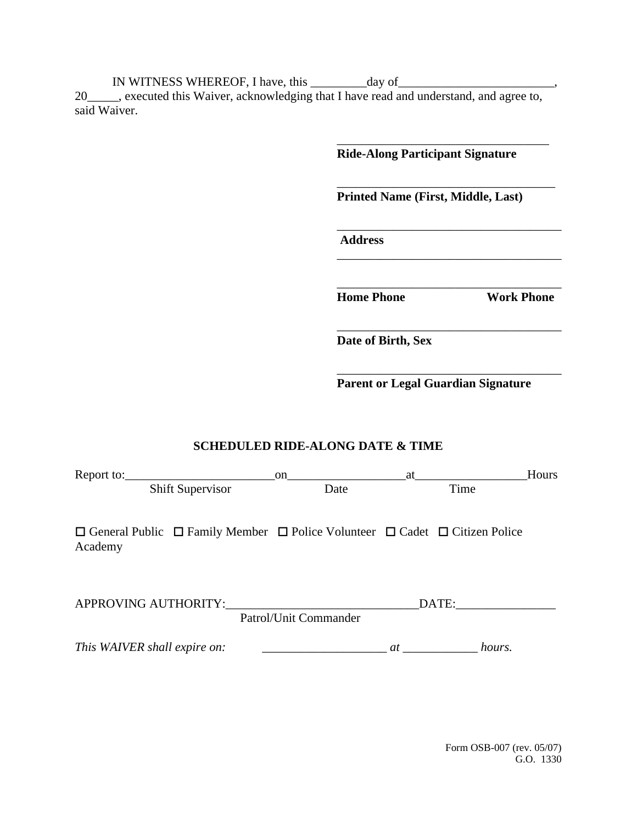IN WITNESS WHEREOF, I have, this \_\_\_\_\_\_\_\_\_ day of\_\_\_\_\_\_\_\_\_\_\_\_\_\_\_\_\_\_\_\_\_\_\_\_,

20\_\_\_\_\_, executed this Waiver, acknowledging that I have read and understand, and agree to, said Waiver.

> \_\_\_\_\_\_\_\_\_\_\_\_\_\_\_\_\_\_\_\_\_\_\_\_\_\_\_\_\_\_\_\_\_\_ **Ride-Along Participant Signature** \_\_\_\_\_\_\_\_\_\_\_\_\_\_\_\_\_\_\_\_\_\_\_\_\_\_\_\_\_\_\_\_\_\_\_ **Printed Name (First, Middle, Last)** \_\_\_\_\_\_\_\_\_\_\_\_\_\_\_\_\_\_\_\_\_\_\_\_\_\_\_\_\_\_\_\_\_\_\_\_  **Address** \_\_\_\_\_\_\_\_\_\_\_\_\_\_\_\_\_\_\_\_\_\_\_\_\_\_\_\_\_\_\_\_\_\_\_\_ \_\_\_\_\_\_\_\_\_\_\_\_\_\_\_\_\_\_\_\_\_\_\_\_\_\_\_\_\_\_\_\_\_\_\_\_ **Home Phone Work Phone** \_\_\_\_\_\_\_\_\_\_\_\_\_\_\_\_\_\_\_\_\_\_\_\_\_\_\_\_\_\_\_\_\_\_\_\_ **Date of Birth, Sex**

**Parent or Legal Guardian Signature**

\_\_\_\_\_\_\_\_\_\_\_\_\_\_\_\_\_\_\_\_\_\_\_\_\_\_\_\_\_\_\_\_\_\_\_\_

## **SCHEDULED RIDE-ALONG DATE & TIME**

|                                                                                                                  | on.                   | at           | Hours |
|------------------------------------------------------------------------------------------------------------------|-----------------------|--------------|-------|
| Shift Supervisor                                                                                                 | Date                  | Time         |       |
| $\Box$ General Public $\Box$ Family Member $\Box$ Police Volunteer $\Box$ Cadet $\Box$ Citizen Police<br>Academy |                       |              |       |
| APPROVING AUTHORITY:                                                                                             | Patrol/Unit Commander | DATE:        |       |
| This WAIVER shall expire on:                                                                                     |                       | hours.<br>at |       |